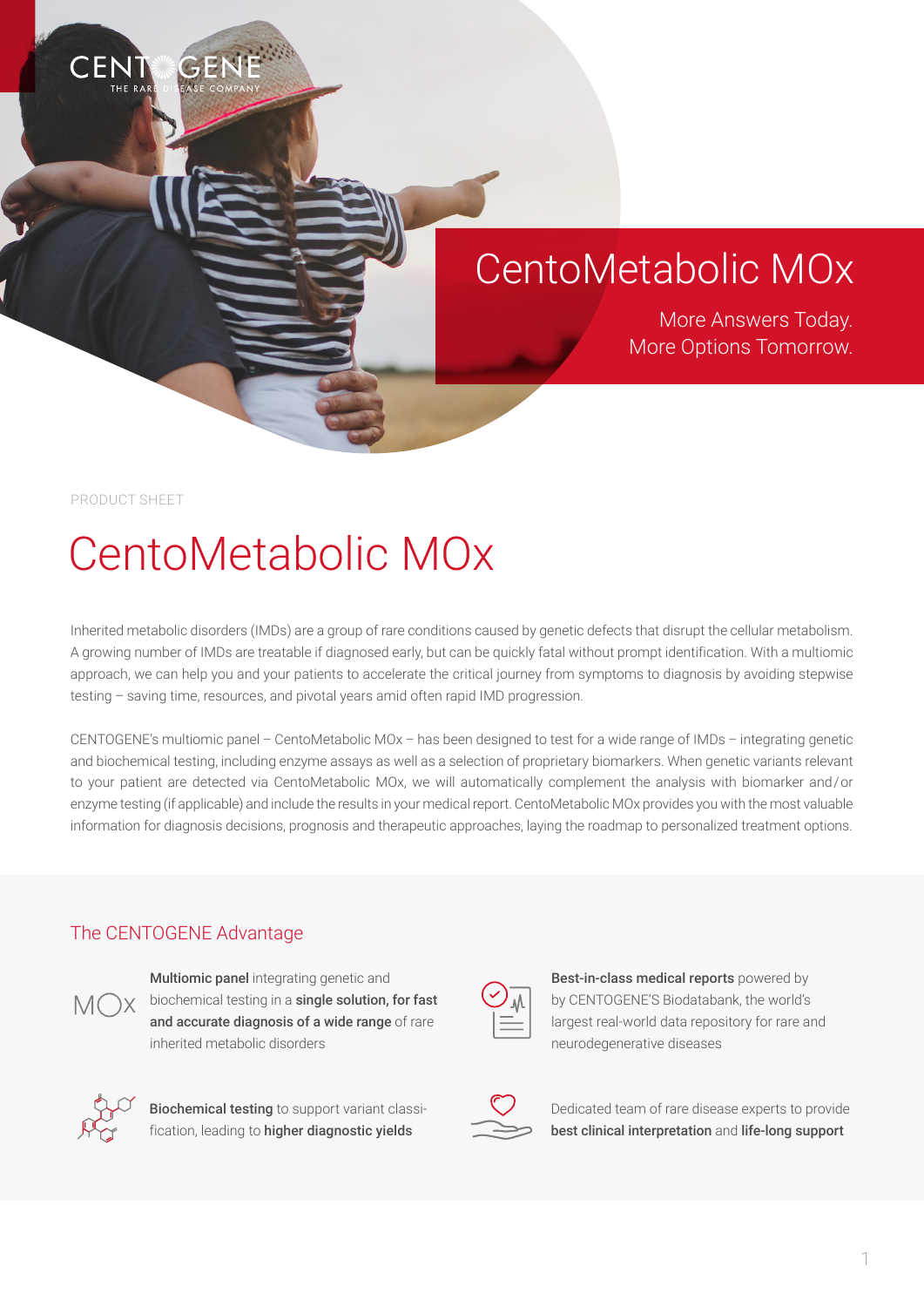## CentoMetabolic MOx

More Answers Today. More Options Tomorrow.

PRODUCT SHEET

CFN

# CentoMetabolic MOx

Inherited metabolic disorders (IMDs) are a group of rare conditions caused by genetic defects that disrupt the cellular metabolism. A growing number of IMDs are treatable if diagnosed early, but can be quickly fatal without prompt identification. With a multiomic approach, we can help you and your patients to accelerate the critical journey from symptoms to diagnosis by avoiding stepwise testing – saving time, resources, and pivotal years amid often rapid IMD progression.

CENTOGENE's multiomic panel – CentoMetabolic MOx – has been designed to test for a wide range of IMDs – integrating genetic and biochemical testing, including enzyme assays as well as a selection of proprietary biomarkers. When genetic variants relevant to your patient are detected via CentoMetabolic MOx, we will automatically complement the analysis with biomarker and/or enzyme testing (if applicable) and include the results in your medical report. CentoMetabolic MOx provides you with the most valuable information for diagnosis decisions, prognosis and therapeutic approaches, laying the roadmap to personalized treatment options.

#### The CENTOGENE Advantage



Multiomic panel integrating genetic and biochemical testing in a single solution, for fast and accurate diagnosis of a wide range of rare inherited metabolic disorders



Biochemical testing to support variant classification, leading to higher diagnostic yields



Best-in-class medical reports powered by by CENTOGENE'S Biodatabank, the world's largest real-world data repository for rare and neurodegenerative diseases



Dedicated team of rare disease experts to provide best clinical interpretation and life-long support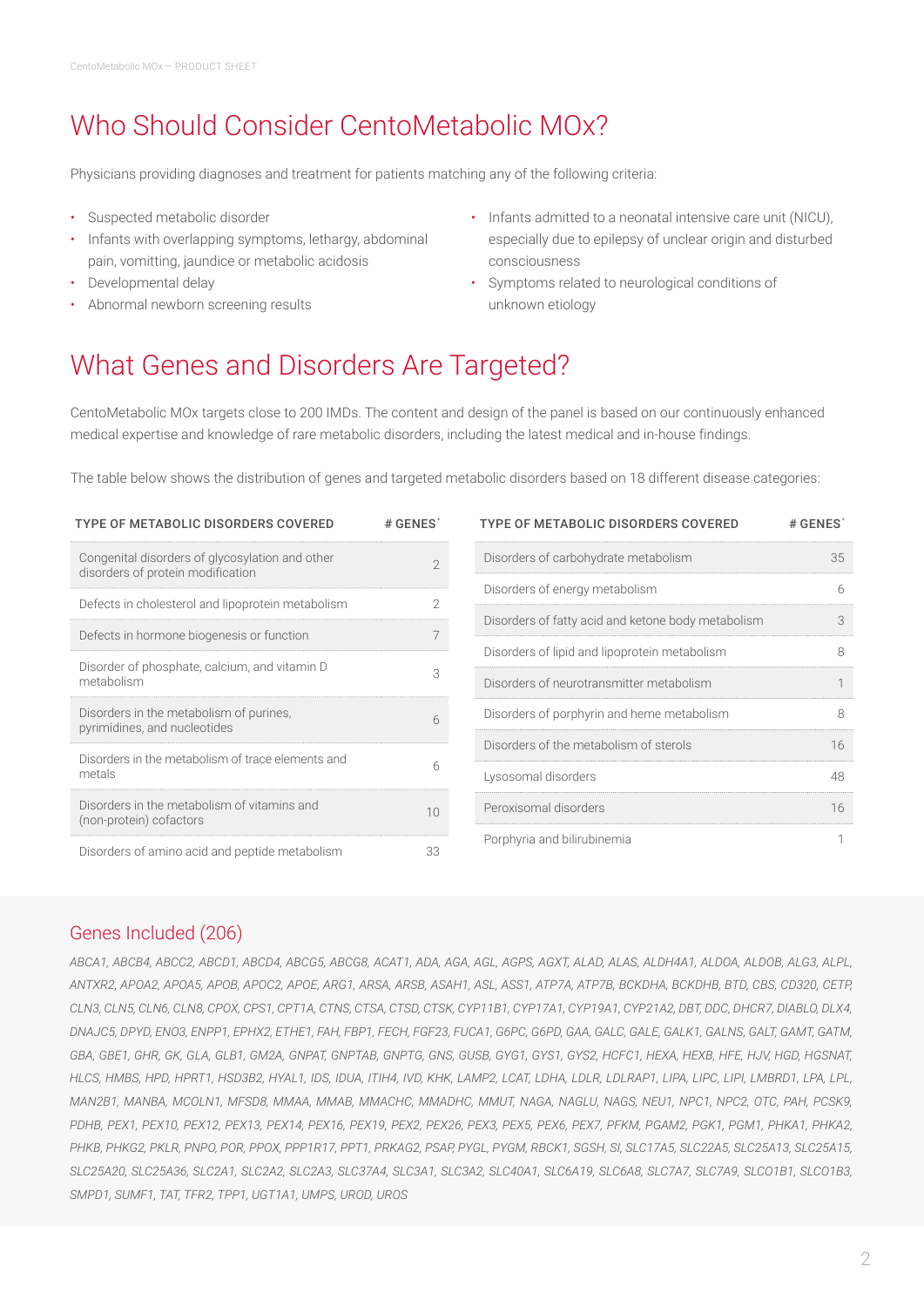### Who Should Consider CentoMetabolic MOx?

Physicians providing diagnoses and treatment for patients matching any of the following criteria:

- Suspected metabolic disorder
- Infants with overlapping symptoms, lethargy, abdominal pain, vomitting, jaundice or metabolic acidosis
- Developmental delay
- Abnormal newborn screening results
- Infants admitted to a neonatal intensive care unit (NICU), especially due to epilepsy of unclear origin and disturbed consciousness
- Symptoms related to neurological conditions of unknown etiology

#### What Genes and Disorders Are Targeted?

CentoMetabolic MOx targets close to 200 IMDs. The content and design of the panel is based on our continuously enhanced medical expertise and knowledge of rare metabolic disorders, including the latest medical and in-house findings.

The table below shows the distribution of genes and targeted metabolic disorders based on 18 different disease categories:

| TYPE OF METABOLIC DISORDERS COVERED                                                  | # GENES <sup>*</sup> | TYPE OF METABOLIC DISORDERS COVERED                | $#$ GENES |
|--------------------------------------------------------------------------------------|----------------------|----------------------------------------------------|-----------|
| Congenital disorders of glycosylation and other<br>disorders of protein modification | $\mathfrak{D}$       | Disorders of carbohydrate metabolism               | 35        |
| Defects in cholesterol and lipoprotein metabolism                                    |                      | Disorders of energy metabolism                     | 6         |
| Defects in hormone biogenesis or function                                            |                      | Disorders of fatty acid and ketone body metabolism | 3         |
| Disorder of phosphate, calcium, and vitamin D<br>metabolism                          | 3                    | Disorders of lipid and lipoprotein metabolism      | 8         |
|                                                                                      |                      | Disorders of neurotransmitter metabolism           |           |
| Disorders in the metabolism of purines,<br>pyrimidines, and nucleotides              | $6\overline{6}$      | Disorders of porphyrin and heme metabolism         | 8         |
| Disorders in the metabolism of trace elements and<br>metals                          | 6                    | Disorders of the metabolism of sterols             | 16        |
|                                                                                      |                      | Lysosomal disorders                                | 48        |
| Disorders in the metabolism of vitamins and<br>(non-protein) cofactors               | 10                   | Peroxisomal disorders                              | 16        |
| Disorders of amino acid and peptide metabolism                                       | 33                   | Porphyria and bilirubinemia                        |           |

#### Genes Included (206)

*ABCA1, ABCB4, ABCC2, ABCD1, ABCD4, ABCG5, ABCG8, ACAT1, ADA, AGA, AGL, AGPS, AGXT, ALAD, ALAS, ALDH4A1, ALDOA, ALDOB, ALG3, ALPL, ANTXR2, APOA2, APOA5, APOB, APOC2, APOE, ARG1, ARSA, ARSB, ASAH1, ASL, ASS1, ATP7A, ATP7B, BCKDHA, BCKDHB, BTD, CBS, CD320, CETP, CLN3, CLN5, CLN6, CLN8, CPOX, CPS1, CPT1A, CTNS, CTSA, CTSD, CTSK, CYP11B1, CYP17A1, CYP19A1, CYP21A2, DBT, DDC, DHCR7, DIABLO, DLX4, DNAJC5, DPYD, ENO3, ENPP1, EPHX2, ETHE1, FAH, FBP1, FECH, FGF23, FUCA1, G6PC, G6PD, GAA, GALC, GALE, GALK1, GALNS, GALT, GAMT, GATM, GBA, GBE1, GHR, GK, GLA, GLB1, GM2A, GNPAT, GNPTAB, GNPTG, GNS, GUSB, GYG1, GYS1, GYS2, HCFC1, HEXA, HEXB, HFE, HJV, HGD, HGSNAT, HLCS, HMBS, HPD, HPRT1, HSD3B2, HYAL1, IDS, IDUA, ITIH4, IVD, KHK, LAMP2, LCAT, LDHA, LDLR, LDLRAP1, LIPA, LIPC, LIPI, LMBRD1, LPA, LPL, MAN2B1, MANBA, MCOLN1, MFSD8, MMAA, MMAB, MMACHC, MMADHC, MMUT, NAGA, NAGLU, NAGS, NEU1, NPC1, NPC2, OTC, PAH, PCSK9, PDHB, PEX1, PEX10, PEX12, PEX13, PEX14, PEX16, PEX19, PEX2, PEX26, PEX3, PEX5, PEX6, PEX7, PFKM, PGAM2, PGK1, PGM1, PHKA1, PHKA2, PHKB, PHKG2, PKLR, PNPO, POR, PPOX, PPP1R17, PPT1, PRKAG2, PSAP, PYGL, PYGM, RBCK1, SGSH, SI, SLC17A5, SLC22A5, SLC25A13, SLC25A15, SLC25A20, SLC25A36, SLC2A1, SLC2A2, SLC2A3, SLC37A4, SLC3A1, SLC3A2, SLC40A1, SLC6A19, SLC6A8, SLC7A7, SLC7A9, SLCO1B1, SLCO1B3, SMPD1, SUMF1, TAT, TFR2, TPP1, UGT1A1, UMPS, UROD, UROS*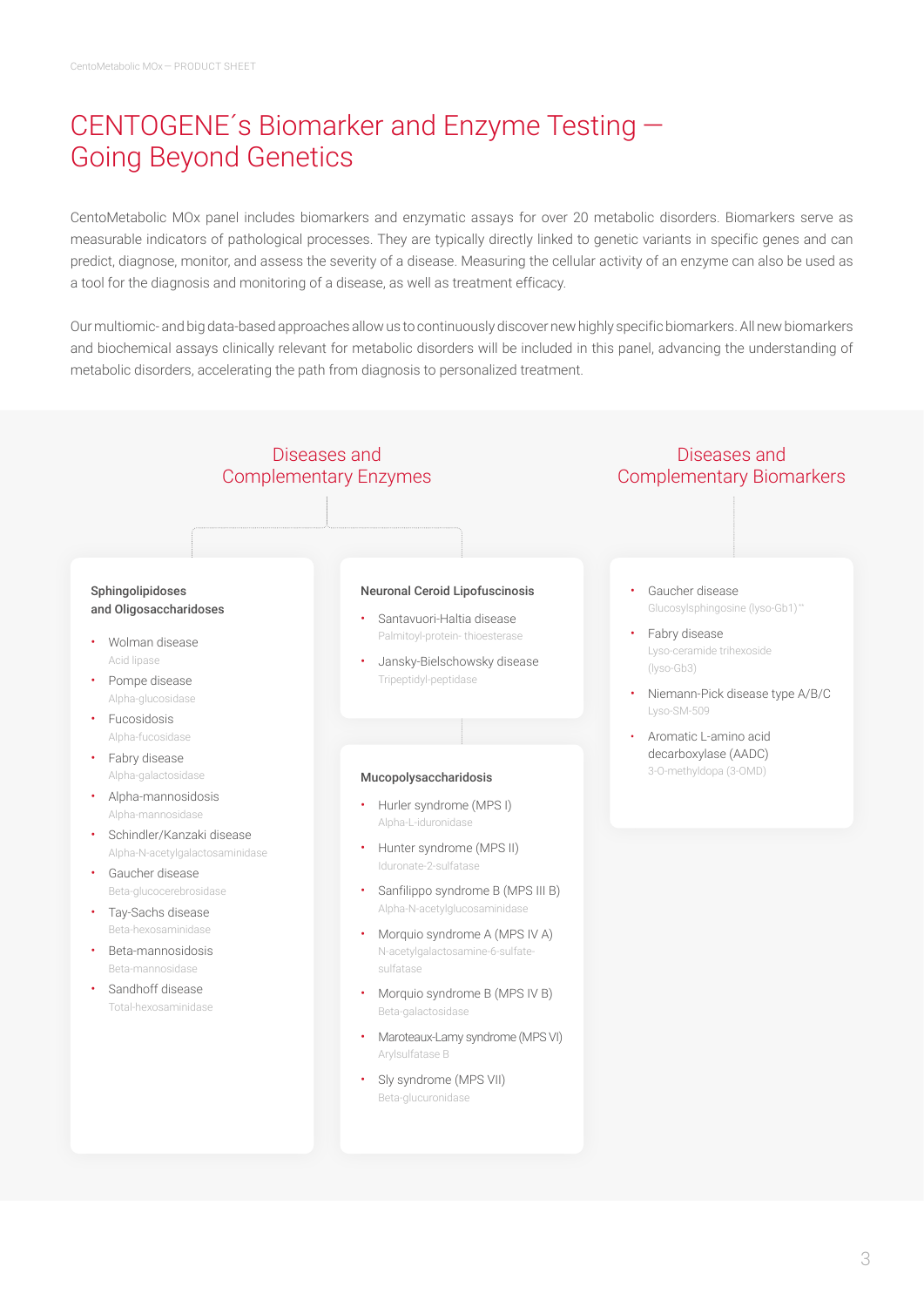### CENTOGENE´s Biomarker and Enzyme Testing —  Going Beyond Genetics

CentoMetabolic MOx panel includes biomarkers and enzymatic assays for over 20 metabolic disorders. Biomarkers serve as measurable indicators of pathological processes. They are typically directly linked to genetic variants in specific genes and can predict, diagnose, monitor, and assess the severity of a disease. Measuring the cellular activity of an enzyme can also be used as a tool for the diagnosis and monitoring of a disease, as well as treatment efficacy.

Our multiomic- and big data-based approaches allow us to continuously discover new highly specific biomarkers. All new biomarkers and biochemical assays clinically relevant for metabolic disorders will be included in this panel, advancing the understanding of metabolic disorders, accelerating the path from diagnosis to personalized treatment.